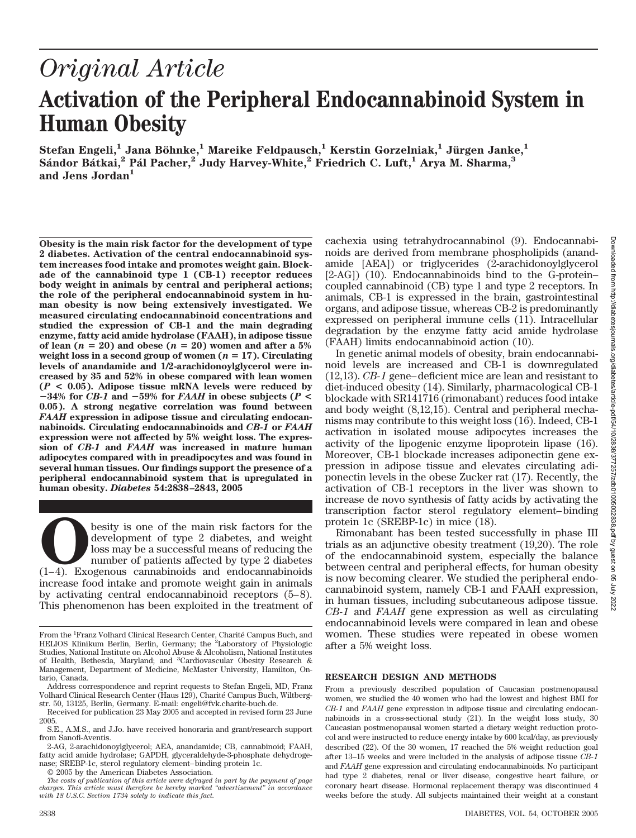# *Original Article* **Activation of the Peripheral Endocannabinoid System in Human Obesity**

 $\text{Stefan Engeli,}^1$  Jana Böhnke, $^1$  Mareike Feldpausch, $^1$  Kerstin Gorzelniak, $^1$  Jürgen Janke, $^1$ **Sa´ndor Ba´tkai,2 Pa´l Pacher,2 Judy Harvey-White,2 Friedrich C. Luft,1 Arya M. Sharma,3 and Jens Jordan1**

**Obesity is the main risk factor for the development of type 2 diabetes. Activation of the central endocannabinoid system increases food intake and promotes weight gain. Blockade of the cannabinoid type 1 (CB-1) receptor reduces body weight in animals by central and peripheral actions; the role of the peripheral endocannabinoid system in human obesity is now being extensively investigated. We measured circulating endocannabinoid concentrations and studied the expression of CB-1 and the main degrading enzyme, fatty acid amide hydrolase (FAAH), in adipose tissue** of lean  $(n = 20)$  and obese  $(n = 20)$  women and after a 5% **weight loss in a second group of women (** $n = 17$ **). Circulating levels of anandamide and 1/2-arachidonoylglycerol were increased by 35 and 52% in obese compared with lean women (***P* **< 0.05). Adipose tissue mRNA levels were reduced by**  $-34\%$  for *CB-1* and  $-59\%$  for *FAAH* in obese subjects (*P* < **0.05). A strong negative correlation was found between** *FAAH* **expression in adipose tissue and circulating endocannabinoids. Circulating endocannabinoids and** *CB-1* **or** *FAAH* **expression were not affected by 5% weight loss. The expression of** *CB-1* **and** *FAAH* **was increased in mature human adipocytes compared with in preadipocytes and was found in several human tissues. Our findings support the presence of a peripheral endocannabinoid system that is upregulated in human obesity.** *Diabetes* **54:2838–2843, 2005**

**O**besity is one of the main risk factors for the development of type 2 diabetes, and weight loss may be a successful means of reducing the number of patients affected by type 2 diabetes (1–4). Exogenous cannabinoids and e development of type 2 diabetes, and weight loss may be a successful means of reducing the number of patients affected by type 2 diabetes increase food intake and promote weight gain in animals by activating central endocannabinoid receptors (5–8). This phenomenon has been exploited in the treatment of

© 2005 by the American Diabetes Association.

cachexia using tetrahydrocannabinol (9). Endocannabinoids are derived from membrane phospholipids (anandamide [AEA]) or triglycerides (2-arachidonoylglycerol [2-AG]) (10). Endocannabinoids bind to the G-protein– coupled cannabinoid (CB) type 1 and type 2 receptors. In animals, CB-1 is expressed in the brain, gastrointestinal organs, and adipose tissue, whereas CB-2 is predominantly expressed on peripheral immune cells (11). Intracellular degradation by the enzyme fatty acid amide hydrolase (FAAH) limits endocannabinoid action (10).

In genetic animal models of obesity, brain endocannabinoid levels are increased and CB-1 is downregulated (12,13). *CB-1* gene–deficient mice are lean and resistant to diet-induced obesity (14). Similarly, pharmacological CB-1 blockade with SR141716 (rimonabant) reduces food intake and body weight (8,12,15). Central and peripheral mechanisms may contribute to this weight loss (16). Indeed, CB-1 activation in isolated mouse adipocytes increases the activity of the lipogenic enzyme lipoprotein lipase (16). Moreover, CB-1 blockade increases adiponectin gene expression in adipose tissue and elevates circulating adiponectin levels in the obese Zucker rat (17). Recently, the activation of CB-1 receptors in the liver was shown to increase de novo synthesis of fatty acids by activating the transcription factor sterol regulatory element–binding protein 1c (SREBP-1c) in mice (18).

Rimonabant has been tested successfully in phase III trials as an adjunctive obesity treatment (19,20). The role of the endocannabinoid system, especially the balance between central and peripheral effects, for human obesity is now becoming clearer. We studied the peripheral endocannabinoid system, namely CB-1 and FAAH expression, in human tissues, including subcutaneous adipose tissue. *CB-1* and *FAAH* gene expression as well as circulating endocannabinoid levels were compared in lean and obese women. These studies were repeated in obese women after a 5% weight loss.

#### **RESEARCH DESIGN AND METHODS**

From a previously described population of Caucasian postmenopausal women, we studied the 40 women who had the lowest and highest BMI for *CB-1* and *FAAH* gene expression in adipose tissue and circulating endocannabinoids in a cross-sectional study (21). In the weight loss study, 30 Caucasian postmenopausal women started a dietary weight reduction protocol and were instructed to reduce energy intake by 600 kcal/day, as previously described (22). Of the 30 women, 17 reached the 5% weight reduction goal after 13–15 weeks and were included in the analysis of adipose tissue *CB-1* and *FAAH* gene expression and circulating endocannabinoids. No participant had type 2 diabetes, renal or liver disease, congestive heart failure, or coronary heart disease. Hormonal replacement therapy was discontinued 4 weeks before the study. All subjects maintained their weight at a constant

From the <sup>1</sup>Franz Volhard Clinical Research Center, Charité Campus Buch, and HELIOS Klinikum Berlin, Berlin, Germany; the <sup>2</sup>Laboratory of Physiologic Studies, National Institute on Alcohol Abuse & Alcoholism, National Institutes of Health, Bethesda, Maryland; and <sup>3</sup>Cardiovascular Obesity Research & Management, Department of Medicine, McMaster University, Hamilton, Ontario, Canada.

Address correspondence and reprint requests to Stefan Engeli, MD, Franz Volhard Clinical Research Center (Haus 129), Charite´ Campus Buch, Wiltbergstr. 50, 13125, Berlin, Germany. E-mail: engeli@fvk.charite-buch.de.

Received for publication 23 May 2005 and accepted in revised form 23 June 2005.

S.E., A.M.S., and J.Jo. have received honoraria and grant/research support from Sanofi-Aventis.

<sup>2-</sup>AG, 2-arachidonoylglycerol; AEA, anandamide; CB, cannabinoid; FAAH, fatty acid amide hydrolase; GAPDH, glyceraldehyde-3-phosphate dehydrogenase; SREBP-1c, sterol regulatory element–binding protein 1c.

*The costs of publication of this article were defrayed in part by the payment of page charges. This article must therefore be hereby marked "advertisement" in accordance with 18 U.S.C. Section 1734 solely to indicate this fact.*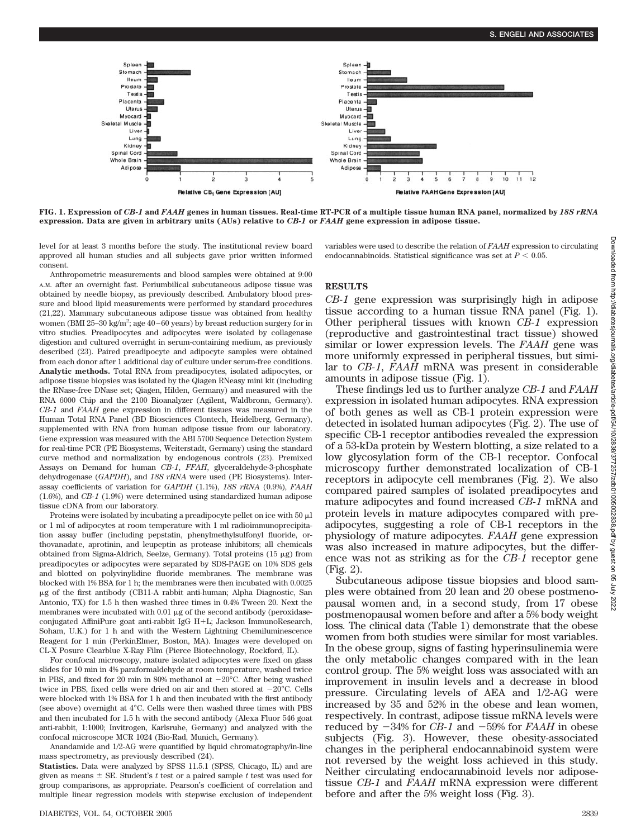

**FIG. 1. Expression of** *CB-1* **and** *FAAH* **genes in human tissues. Real-time RT-PCR of a multiple tissue human RNA panel, normalized by** *18S rRNA* **expression. Data are given in arbitrary units (AUs) relative to** *CB-1* **or** *FAAH* **gene expression in adipose tissue.**

level for at least 3 months before the study. The institutional review board approved all human studies and all subjects gave prior written informed consent.

Anthropometric measurements and blood samples were obtained at 9:00 A.M. after an overnight fast. Periumbilical subcutaneous adipose tissue was obtained by needle biopsy, as previously described. Ambulatory blood pressure and blood lipid measurements were performed by standard procedures (21,22). Mammary subcutaneous adipose tissue was obtained from healthy women (BMI 25-30 kg/m<sup>2</sup>; age  $40-60$  years) by breast reduction surgery for in vitro studies. Preadipocytes and adipocytes were isolated by collagenase digestion and cultured overnight in serum-containing medium, as previously described (23). Paired preadipocyte and adipocyte samples were obtained from each donor after 1 additional day of culture under serum-free conditions. **Analytic methods.** Total RNA from preadipocytes, isolated adipocytes, or adipose tissue biopsies was isolated by the Qiagen RNeasy mini kit (including the RNase-free DNase set; Qiagen, Hilden, Germany) and measured with the RNA 6000 Chip and the 2100 Bioanalyzer (Agilent, Waldbronn, Germany). *CB-1* and *FAAH* gene expression in different tissues was measured in the Human Total RNA Panel (BD Biosciences Clontech, Heidelberg, Germany), supplemented with RNA from human adipose tissue from our laboratory. Gene expression was measured with the ABI 5700 Sequence Detection System for real-time PCR (PE Biosystems, Weiterstadt, Germany) using the standard curve method and normalization by endogenous controls (23). Premixed Assays on Demand for human *CB-1*, *FFAH*, glyceraldehyde-3-phosphate dehydrogenase (*GAPDH*), and *18S rRNA* were used (PE Biosystems). Interassay coefficients of variation for *GAPDH* (1.1%), *18S rRNA* (0.9%), *FAAH* (1.6%), and *CB-1* (1.9%) were determined using standardized human adipose tissue cDNA from our laboratory.

Proteins were isolated by incubating a preadipocyte pellet on ice with  $50 \mu l$ or 1 ml of adipocytes at room temperature with 1 ml radioimmunoprecipitation assay buffer (including pepstatin, phenylmethylsulfonyl fluoride, orthovanadate, aprotinin, and leupeptin as protease inhibitors; all chemicals obtained from Sigma-Aldrich, Seelze, Germany). Total proteins (15  $\upmu \mathrm{g})$  from preadipocytes or adipocytes were separated by SDS-PAGE on 10% SDS gels and blotted on polyvinylidine fluoride membranes. The membrane was blocked with 1% BSA for 1 h; the membranes were then incubated with 0.0025 g of the first antibody (CB11-A rabbit anti-human; Alpha Diagnostic, San Antonio, TX) for 1.5 h then washed three times in 0.4% Tween 20. Next the membranes were incubated with  $0.01 \mu$ g of the second antibody (peroxidaseconjugated AffiniPure goat anti-rabbit IgG H-L; Jackson ImmunoResearch, Soham, U.K.) for 1 h and with the Western Lightning Chemiluminescence Reagent for 1 min (PerkinElmer, Boston, MA). Images were developed on CL-X Posure Clearblue X-Ray Film (Pierce Biotechnology, Rockford, IL).

For confocal microscopy, mature isolated adipocytes were fixed on glass slides for 10 min in 4% paraformaldehyde at room temperature, washed twice in PBS, and fixed for 20 min in 80% methanol at  $-20^{\circ}$ C. After being washed twice in PBS, fixed cells were dried on air and then stored at  $-20^{\circ}$ C. Cells were blocked with 1% BSA for 1 h and then incubated with the first antibody (see above) overnight at 4°C. Cells were then washed three times with PBS and then incubated for 1.5 h with the second antibody (Alexa Fluor 546 goat anti-rabbit, 1:1000; Invitrogen, Karlsruhe, Germany) and analyzed with the confocal microscope MCR 1024 (Bio-Rad, Munich, Germany).

Anandamide and 1/2-AG were quantified by liquid chromatography/in-line mass spectrometry, as previously described (24).

**Statistics.** Data were analyzed by SPSS 11.5.1 (SPSS, Chicago, IL) and are given as means  $\pm$  SE. Student's t test or a paired sample t test was used for group comparisons, as appropriate. Pearson's coefficient of correlation and multiple linear regression models with stepwise exclusion of independent variables were used to describe the relation of *FAAH* expression to circulating endocannabinoids. Statistical significance was set at  $P < 0.05$ .

### **RESULTS**

*CB-1* gene expression was surprisingly high in adipose tissue according to a human tissue RNA panel (Fig. 1). Other peripheral tissues with known *CB-1* expression (reproductive and gastrointestinal tract tissue) showed similar or lower expression levels. The *FAAH* gene was more uniformly expressed in peripheral tissues, but similar to *CB-1*, *FAAH* mRNA was present in considerable amounts in adipose tissue (Fig. 1).

These findings led us to further analyze *CB-1* and *FAAH* expression in isolated human adipocytes. RNA expression of both genes as well as CB-1 protein expression were detected in isolated human adipocytes (Fig. 2). The use of specific CB-1 receptor antibodies revealed the expression of a 53-kDa protein by Western blotting, a size related to a low glycosylation form of the CB-1 receptor. Confocal microscopy further demonstrated localization of CB-1 receptors in adipocyte cell membranes (Fig. 2). We also compared paired samples of isolated preadipocytes and mature adipocytes and found increased *CB-1* mRNA and protein levels in mature adipocytes compared with preadipocytes, suggesting a role of CB-1 receptors in the physiology of mature adipocytes. *FAAH* gene expression was also increased in mature adipocytes, but the difference was not as striking as for the *CB-1* receptor gene (Fig. 2).

Subcutaneous adipose tissue biopsies and blood samples were obtained from 20 lean and 20 obese postmenopausal women and, in a second study, from 17 obese postmenopausal women before and after a 5% body weight loss. The clinical data (Table 1) demonstrate that the obese women from both studies were similar for most variables. In the obese group, signs of fasting hyperinsulinemia were the only metabolic changes compared with in the lean control group. The 5% weight loss was associated with an improvement in insulin levels and a decrease in blood pressure. Circulating levels of AEA and 1/2-AG were increased by 35 and 52% in the obese and lean women, respectively. In contrast, adipose tissue mRNA levels were reduced by  $-34\%$  for *CB-1* and  $-59\%$  for *FAAH* in obese subjects (Fig. 3). However, these obesity-associated changes in the peripheral endocannabinoid system were not reversed by the weight loss achieved in this study. Neither circulating endocannabinoid levels nor adiposetissue *CB-1* and *FAAH* mRNA expression were different before and after the 5% weight loss (Fig. 3).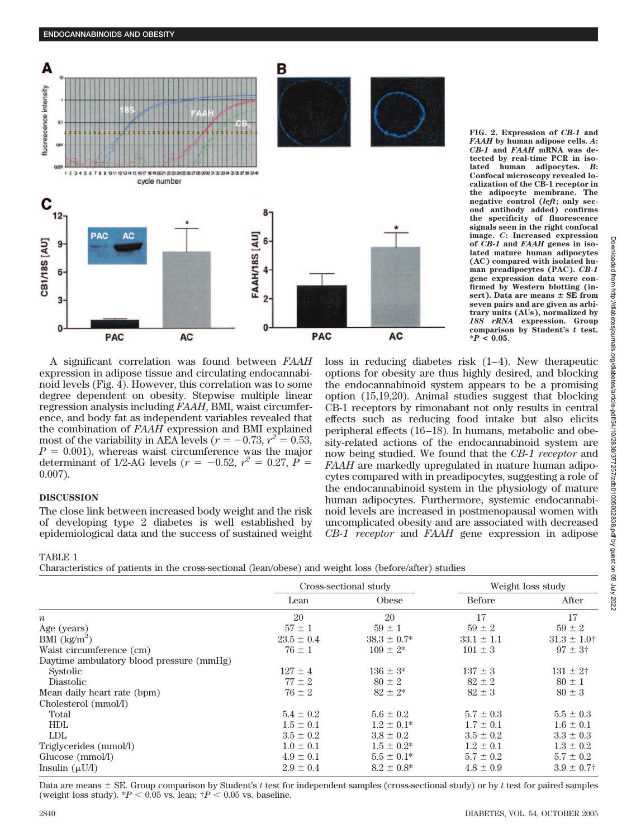

**FIG. 2. Expression of** *CB-1* **and** *FAAH* **by human adipose cells.** *A***:** *CB-1* **and** *FAAH* **mRNA was detected by real-time PCR in isolated human adipocytes.** *B***: Confocal microscopy revealed localization of the CB-1 receptor in the adipocyte membrane. The negative control (***left***; only second antibody added) confirms the specificity of fluorescence signals seen in the right confocal image.** *C***: Increased expression of** *CB-1* **and** *FAAH* **genes in isolated mature human adipocytes (AC) compared with isolated human preadipocytes (PAC).** *CB-1* **gene expression data were confirmed by Western blotting (insert). Data are means SE from seven pairs and are given as arbitrary units (AUs), normalized by** *18S rRNA* **expression. Group comparison by Student's** *t* **test. \****P* **< 0.05.**

A significant correlation was found between *FAAH* expression in adipose tissue and circulating endocannabinoid levels (Fig. 4). However, this correlation was to some degree dependent on obesity. Stepwise multiple linear regression analysis including *FAAH*, BMI, waist circumference, and body fat as independent variables revealed that the combination of *FAAH* expression and BMI explained most of the variability in AEA levels ( $r = -0.73$ ,  $r^2 = 0.53$ ,  $P = 0.001$ , whereas waist circumference was the major determinant of 1/2-AG levels ( $r = -0.52$ ,  $r^2 = 0.27$ ,  $P =$ 0.007).

# **DISCUSSION**

The close link between increased body weight and the risk of developing type 2 diabetes is well established by epidemiological data and the success of sustained weight loss in reducing diabetes risk (1–4). New therapeutic options for obesity are thus highly desired, and blocking the endocannabinoid system appears to be a promising option (15,19,20). Animal studies suggest that blocking CB-1 receptors by rimonabant not only results in central effects such as reducing food intake but also elicits peripheral effects (16–18). In humans, metabolic and obesity-related actions of the endocannabinoid system are now being studied. We found that the *CB-1 receptor* and *FAAH* are markedly upregulated in mature human adipocytes compared with in preadipocytes, suggesting a role of the endocannabinoid system in the physiology of mature human adipocytes. Furthermore, systemic endocannabinoid levels are increased in postmenopausal women with uncomplicated obesity and are associated with decreased *CB-1 receptor* and *FAAH* gene expression in adipose

TABLE 1

Characteristics of patients in the cross-sectional (lean/obese) and weight loss (before/after) studies

|                                          | Cross-sectional study |                  | Weight loss study |                    |
|------------------------------------------|-----------------------|------------------|-------------------|--------------------|
|                                          | Lean                  | Obese            | <b>Before</b>     | After              |
| $\boldsymbol{n}$                         | 20                    | 20               | 17                | 17                 |
| Age (years)                              | $57 \pm 1$            | $59 \pm 1$       | $59 \pm 2$        | $59 \pm 2$         |
| BMI $\frac{\text{kg}}{\text{m}^2}$       | $23.5 \pm 0.4$        | $38.3 \pm 0.7^*$ | $33.1 \pm 1.1$    | $31.3 \pm 1.0$ †   |
| Waist circumference (cm)                 | $76 \pm 1$            | $109 \pm 2^*$    | $101 \pm 3$       | $97 \pm 3^{\circ}$ |
| Daytime ambulatory blood pressure (mmHg) |                       |                  |                   |                    |
| Systolic                                 | $127 \pm 4$           | $136 \pm 3^*$    | $137 \pm 3$       | $131 \pm 2$ †      |
| Diastolic                                | $77 \pm 2$            | $80 \pm 2$       | $82 \pm 2$        | $80 \pm 1$         |
| Mean daily heart rate (bpm)              | $76 \pm 2$            | $82 \pm 2^*$     | $82 \pm 3$        | $80 \pm 3$         |
| Cholesterol (mmol/l)                     |                       |                  |                   |                    |
| Total                                    | $5.4 \pm 0.2$         | $5.6 \pm 0.2$    | $5.7 \pm 0.3$     | $5.5 \pm 0.3$      |
| <b>HDL</b>                               | $1.5 \pm 0.1$         | $1.2 \pm 0.1^*$  | $1.7 \pm 0.1$     | $1.6 \pm 0.1$      |
| <b>LDL</b>                               | $3.5 \pm 0.2$         | $3.8 \pm 0.2$    | $3.5 \pm 0.2$     | $3.3 \pm 0.3$      |
| Triglycerides (mmol/l)                   | $1.0 \pm 0.1$         | $1.5 \pm 0.2^*$  | $1.2 \pm 0.1$     | $1.3 \pm 0.2$      |
| Glucose (mmol/l)                         | $4.9 \pm 0.1$         | $5.5 \pm 0.1*$   | $5.7 \pm 0.2$     | $5.7 \pm 0.2$      |
| Insulin $(\mu U/I)$                      | $2.9 \pm 0.4$         | $8.2 \pm 0.8^*$  | $4.8 \pm 0.9$     | $3.9 \pm 0.7$      |

Data are means  $\pm$  SE. Group comparison by Student's *t* test for independent samples (cross-sectional study) or by *t* test for paired samples (weight loss study).  $*P < 0.05$  vs. lean;  $\uparrow P < 0.05$  vs. baseline.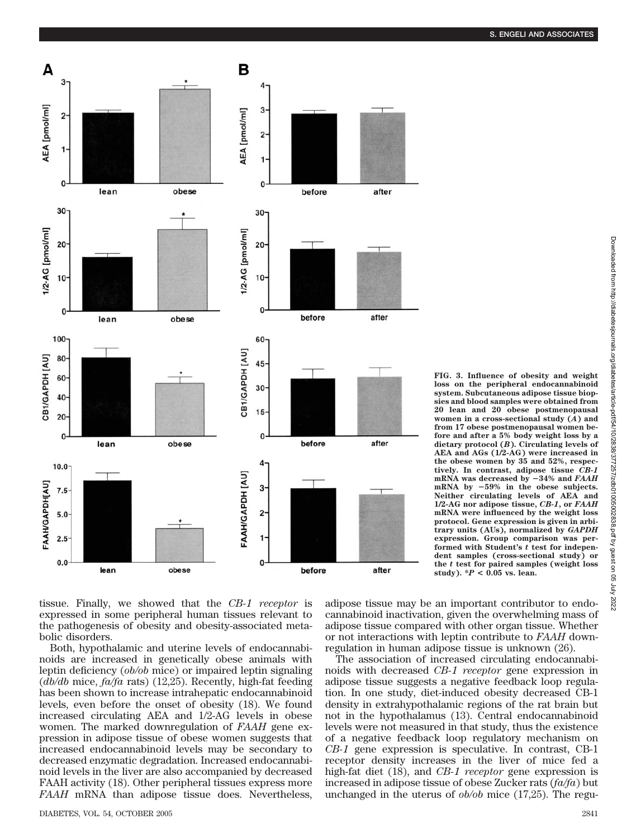**FIG. 3. Influence of obesity and weight loss on the peripheral endocannabinoid system. Subcutaneous adipose tissue biopsies and blood samples were obtained from 20 lean and 20 obese postmenopausal women in a cross-sectional study (***A***) and from 17 obese postmenopausal women before and after a 5% body weight loss by a dietary protocol (***B***). Circulating levels of AEA and AGs (1/2-AG) were increased in the obese women by 35 and 52%, respectively. In contrast, adipose tissue** *CB-1* **mRNA was decreased by** -**34% and** *FAAH* **mRNA by** -**59% in the obese subjects. Neither circulating levels of AEA and 1/2-AG nor adipose tissue,** *CB-1***, or** *FAAH* **mRNA were influenced by the weight loss protocol. Gene expression is given in arbitrary units (AUs), normalized by** *GAPDH* **expression. Group comparison was performed with Student's** *t* **test for independent samples (cross-sectional study) or the** *t* **test for paired samples (weight loss**



tissue. Finally, we showed that the *CB-1 receptor* is expressed in some peripheral human tissues relevant to the pathogenesis of obesity and obesity-associated metabolic disorders.

Both, hypothalamic and uterine levels of endocannabinoids are increased in genetically obese animals with leptin deficiency (*ob/ob* mice) or impaired leptin signaling (*db/db* mice, *fa/fa* rats) (12,25). Recently, high-fat feeding has been shown to increase intrahepatic endocannabinoid levels, even before the onset of obesity (18). We found increased circulating AEA and 1/2-AG levels in obese women. The marked downregulation of *FAAH* gene expression in adipose tissue of obese women suggests that increased endocannabinoid levels may be secondary to decreased enzymatic degradation. Increased endocannabinoid levels in the liver are also accompanied by decreased FAAH activity (18). Other peripheral tissues express more *FAAH* mRNA than adipose tissue does. Nevertheless,

adipose tissue may be an important contributor to endocannabinoid inactivation, given the overwhelming mass of adipose tissue compared with other organ tissue. Whether or not interactions with leptin contribute to *FAAH* downregulation in human adipose tissue is unknown (26).

study).  ${}^*P$  < 0.05 vs. lean.

The association of increased circulating endocannabinoids with decreased *CB-1 receptor* gene expression in adipose tissue suggests a negative feedback loop regulation. In one study, diet-induced obesity decreased CB-1 density in extrahypothalamic regions of the rat brain but not in the hypothalamus (13). Central endocannabinoid levels were not measured in that study, thus the existence of a negative feedback loop regulatory mechanism on *CB-1* gene expression is speculative. In contrast, CB-1 receptor density increases in the liver of mice fed a high-fat diet (18), and *CB-1 receptor* gene expression is increased in adipose tissue of obese Zucker rats (*fa/fa*) but unchanged in the uterus of *ob/ob* mice (17,25). The regu-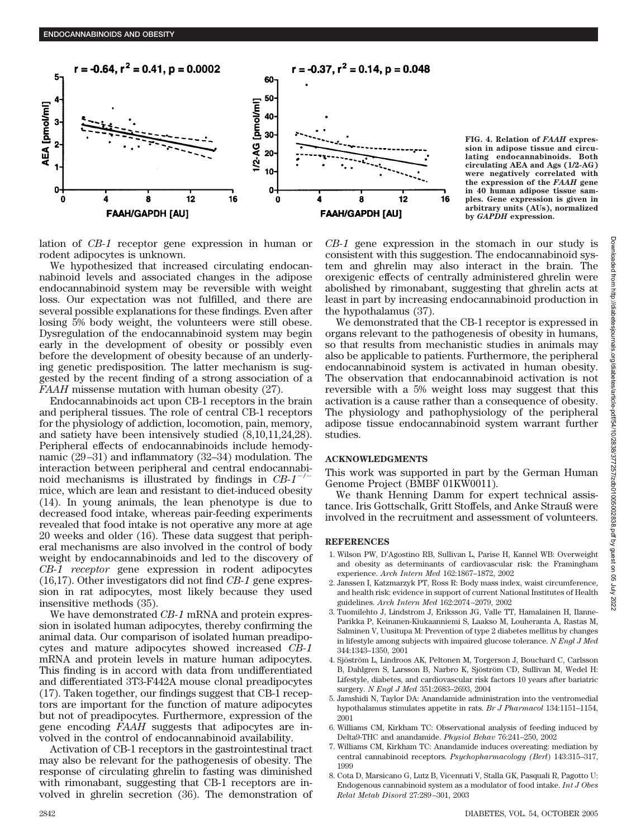

**FIG. 4. Relation of** *FAAH* **expression in adipose tissue and circulating endocannabinoids. Both circulating AEA and Ags (1/2-AG) were negatively correlated with the expression of the** *FAAH* **gene in 40 human adipose tissue samples. Gene expression is given in arbitrary units (AUs), normalized by** *GAPDH* **expression.**

lation of *CB-1* receptor gene expression in human or rodent adipocytes is unknown.

We hypothesized that increased circulating endocannabinoid levels and associated changes in the adipose endocannabinoid system may be reversible with weight loss. Our expectation was not fulfilled, and there are several possible explanations for these findings. Even after losing 5% body weight, the volunteers were still obese. Dysregulation of the endocannabinoid system may begin early in the development of obesity or possibly even before the development of obesity because of an underlying genetic predisposition. The latter mechanism is suggested by the recent finding of a strong association of a *FAAH* missense mutation with human obesity (27).

Endocannabinoids act upon CB-1 receptors in the brain and peripheral tissues. The role of central CB-1 receptors for the physiology of addiction, locomotion, pain, memory, and satiety have been intensively studied (8,10,11,24,28). Peripheral effects of endocannabinoids include hemodynamic (29–31) and inflammatory (32–34) modulation. The interaction between peripheral and central endocannabinoid mechanisms is illustrated by findings in  $CB-1$ <sup>-/</sup> mice, which are lean and resistant to diet-induced obesity (14). In young animals, the lean phenotype is due to decreased food intake, whereas pair-feeding experiments revealed that food intake is not operative any more at age 20 weeks and older (16). These data suggest that peripheral mechanisms are also involved in the control of body weight by endocannabinoids and led to the discovery of *CB-1 receptor* gene expression in rodent adipocytes (16,17). Other investigators did not find *CB-1* gene expression in rat adipocytes, most likely because they used insensitive methods (35).

We have demonstrated *CB-1* mRNA and protein expression in isolated human adipocytes, thereby confirming the animal data. Our comparison of isolated human preadipocytes and mature adipocytes showed increased *CB-1* mRNA and protein levels in mature human adipocytes. This finding is in accord with data from undifferentiated and differentiated 3T3-F442A mouse clonal preadipocytes (17). Taken together, our findings suggest that CB-1 receptors are important for the function of mature adipocytes but not of preadipocytes. Furthermore, expression of the gene encoding *FAAH* suggests that adipocytes are involved in the control of endocannabinoid availability.

Activation of CB-1 receptors in the gastrointestinal tract may also be relevant for the pathogenesis of obesity. The response of circulating ghrelin to fasting was diminished with rimonabant, suggesting that CB-1 receptors are involved in ghrelin secretion (36). The demonstration of *CB-1* gene expression in the stomach in our study is consistent with this suggestion. The endocannabinoid system and ghrelin may also interact in the brain. The orexigenic effects of centrally administered ghrelin were abolished by rimonabant, suggesting that ghrelin acts at least in part by increasing endocannabinoid production in the hypothalamus (37).

We demonstrated that the CB-1 receptor is expressed in organs relevant to the pathogenesis of obesity in humans, so that results from mechanistic studies in animals may also be applicable to patients. Furthermore, the peripheral endocannabinoid system is activated in human obesity. The observation that endocannabinoid activation is not reversible with a 5% weight loss may suggest that this activation is a cause rather than a consequence of obesity. The physiology and pathophysiology of the peripheral adipose tissue endocannabinoid system warrant further studies.

## **ACKNOWLEDGMENTS**

This work was supported in part by the German Human Genome Project (BMBF 01KW0011).

We thank Henning Damm for expert technical assistance. Iris Gottschalk, Gritt Stoffels, and Anke Strauß were involved in the recruitment and assessment of volunteers.

## **REFERENCES**

- 1. Wilson PW, D'Agostino RB, Sullivan L, Parise H, Kannel WB: Overweight and obesity as determinants of cardiovascular risk: the Framingham experience. *Arch Intern Med* 162:1867–1872, 2002
- 2. Janssen I, Katzmarzyk PT, Ross R: Body mass index, waist circumference, and health risk: evidence in support of current National Institutes of Health guidelines. *Arch Intern Med* 162:2074–2079, 2002
- 3. Tuomilehto J, Lindstrom J, Eriksson JG, Valle TT, Hamalainen H, Ilanne-Parikka P, Keinanen-Kiukaanniemi S, Laakso M, Louheranta A, Rastas M, Salminen V, Uusitupa M: Prevention of type 2 diabetes mellitus by changes in lifestyle among subjects with impaired glucose tolerance. *N Engl J Med* 344:1343–1350, 2001
- 4. Sjöström L, Lindroos AK, Peltonen M, Torgerson J, Bouchard C, Carlsson B, Dahlgren S, Larsson B, Narbro K, Sjöström CD, Sullivan M, Wedel H: Lifestyle, diabetes, and cardiovascular risk factors 10 years after bariatric surgery. *N Engl J Med* 351:2683–2693, 2004
- 5. Jamshidi N, Taylor DA: Anandamide administration into the ventromedial hypothalamus stimulates appetite in rats. *Br J Pharmacol* 134:1151–1154, 2001
- 6. Williams CM, Kirkham TC: Observational analysis of feeding induced by Delta9-THC and anandamide. *Physiol Behav* 76:241–250, 2002
- 7. Williams CM, Kirkham TC: Anandamide induces overeating: mediation by central cannabinoid receptors. *Psychopharmacology (Berl*) 143:315–317, 1999
- 8. Cota D, Marsicano G, Lutz B, Vicennati V, Stalla GK, Pasquali R, Pagotto U: Endogenous cannabinoid system as a modulator of food intake. *Int J Obes Relat Metab Disord* 27:289–301, 2003